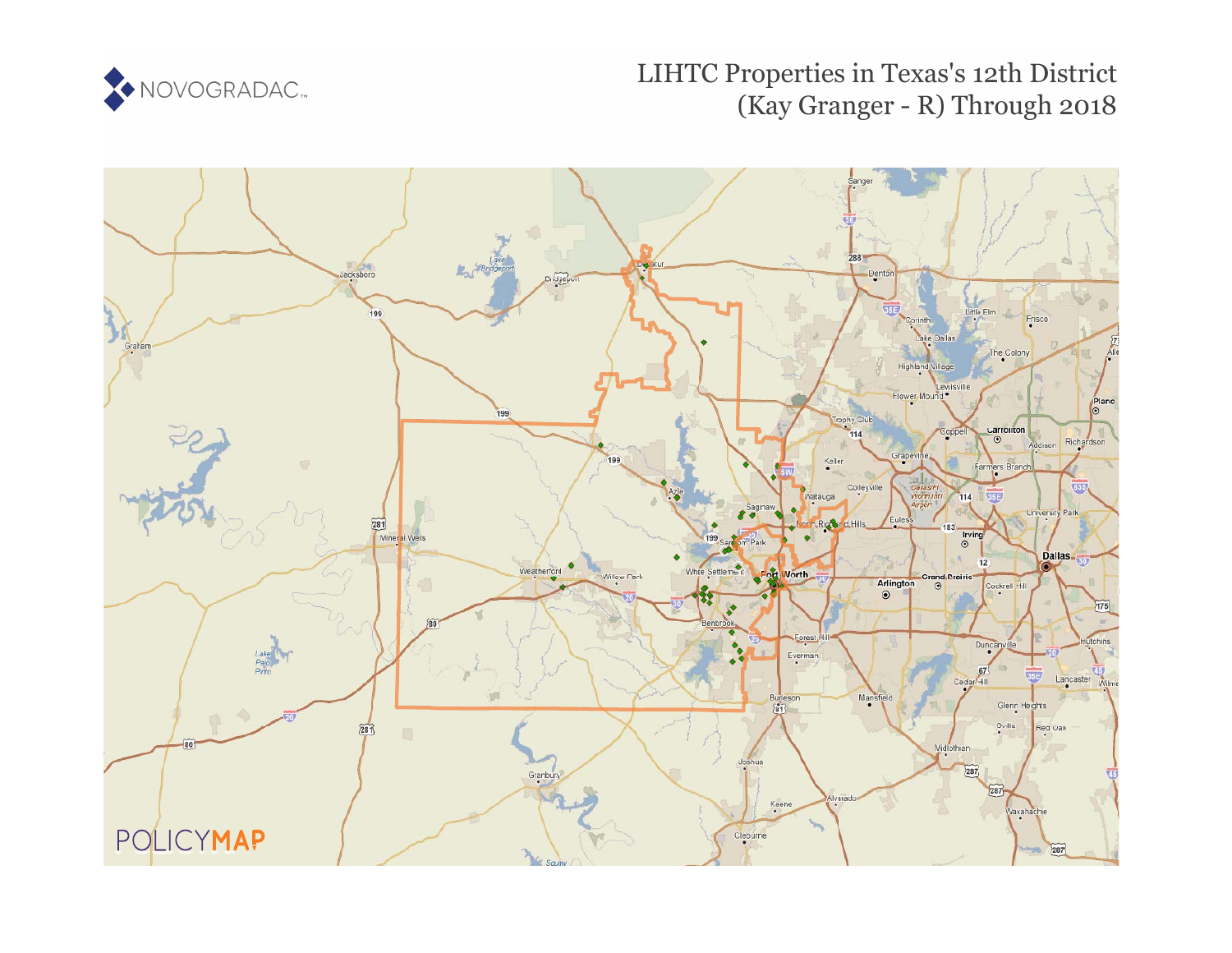

# LIHTC Properties in Texas's 12th District (Kay Granger - R) Through 2018

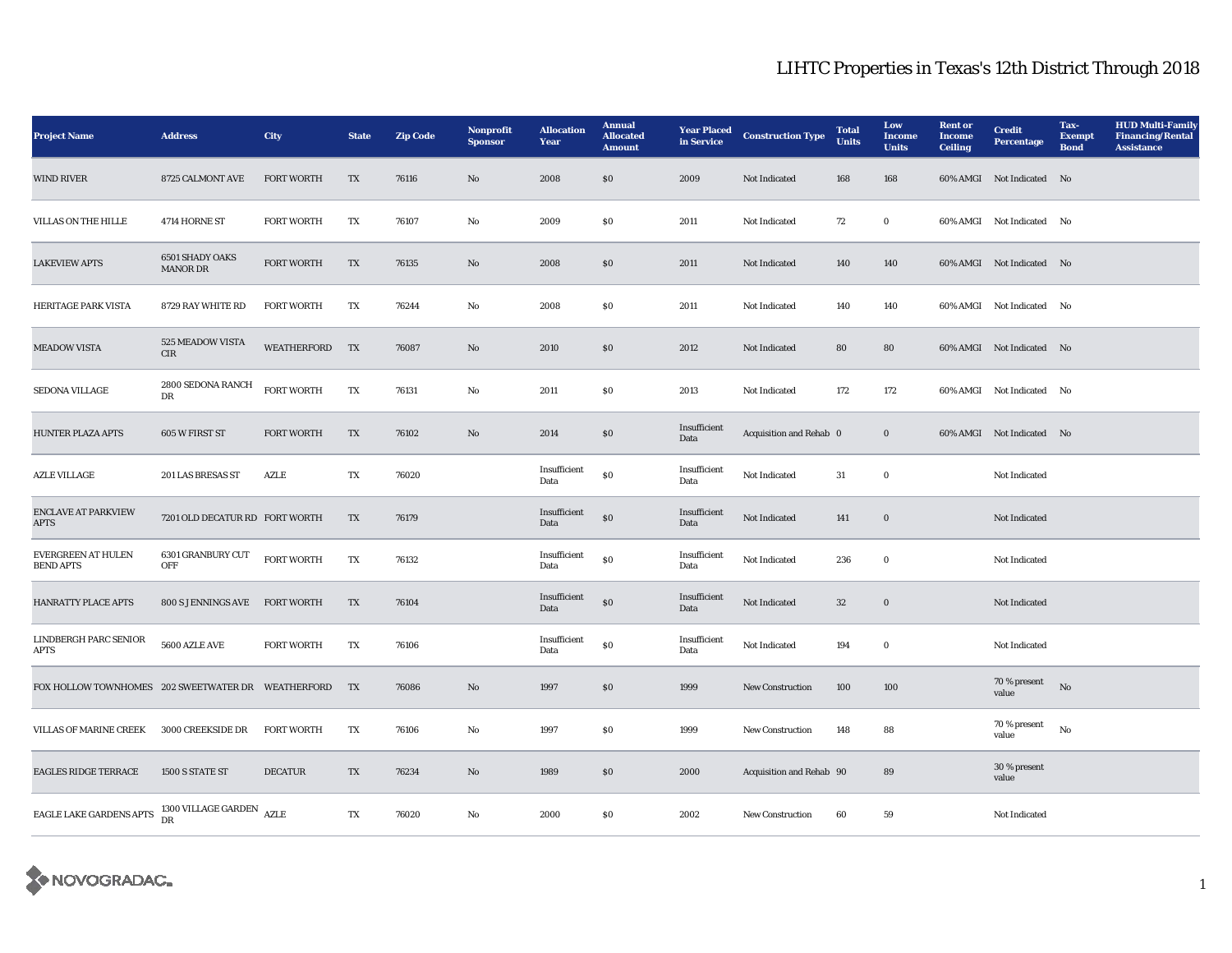| <b>Project Name</b>                           | <b>Address</b>                            | City               | <b>State</b> | <b>Zip Code</b> | <b>Nonprofit</b><br><b>Sponsor</b> | <b>Allocation</b><br>Year | <b>Annual</b><br><b>Allocated</b><br><b>Amount</b> | <b>Year Placed</b><br>in Service | <b>Construction Type</b> | <b>Total</b><br><b>Units</b> | Low<br>Income<br><b>Units</b> | <b>Rent or</b><br><b>Income</b><br><b>Ceiling</b> | <b>Credit</b><br><b>Percentage</b> | Tax-<br><b>Exempt</b><br><b>Bond</b> | <b>HUD Multi-Family</b><br><b>Financing/Rental</b><br><b>Assistance</b> |
|-----------------------------------------------|-------------------------------------------|--------------------|--------------|-----------------|------------------------------------|---------------------------|----------------------------------------------------|----------------------------------|--------------------------|------------------------------|-------------------------------|---------------------------------------------------|------------------------------------|--------------------------------------|-------------------------------------------------------------------------|
| <b>WIND RIVER</b>                             | 8725 CALMONT AVE                          | <b>FORT WORTH</b>  | TX           | 76116           | $\mathbf{No}$                      | 2008                      | \$0                                                | 2009                             | Not Indicated            | 168                          | 168                           |                                                   | 60% AMGI Not Indicated No          |                                      |                                                                         |
| VILLAS ON THE HILLE                           | 4714 HORNE ST                             | <b>FORT WORTH</b>  | TX           | 76107           | No                                 | 2009                      | \$0                                                | 2011                             | Not Indicated            | 72                           | $\bf{0}$                      |                                                   | 60% AMGI Not Indicated No          |                                      |                                                                         |
| <b>LAKEVIEW APTS</b>                          | <b>6501 SHADY OAKS</b><br><b>MANOR DR</b> | <b>FORT WORTH</b>  | TX           | 76135           | $\mathbf{No}$                      | 2008                      | S <sub>0</sub>                                     | 2011                             | Not Indicated            | 140                          | 140                           |                                                   | 60% AMGI Not Indicated No          |                                      |                                                                         |
| HERITAGE PARK VISTA                           | 8729 RAY WHITE RD                         | <b>FORT WORTH</b>  | TX           | 76244           | No                                 | 2008                      | <b>SO</b>                                          | 2011                             | Not Indicated            | 140                          | 140                           |                                                   | 60% AMGI Not Indicated No          |                                      |                                                                         |
| <b>MEADOW VISTA</b>                           | 525 MEADOW VISTA<br><b>CIR</b>            | WEATHERFORD TX     |              | 76087           | $\mathbf{No}$                      | 2010                      | S <sub>0</sub>                                     | 2012                             | <b>Not Indicated</b>     | 80                           | 80                            |                                                   | 60% AMGI Not Indicated No          |                                      |                                                                         |
| SEDONA VILLAGE                                | 2800 SEDONA RANCH<br>DR                   | <b>FORT WORTH</b>  | TX           | 76131           | $\rm\thinspace No$                 | 2011                      | S <sub>0</sub>                                     | 2013                             | Not Indicated            | 172                          | 172                           |                                                   | 60% AMGI Not Indicated No          |                                      |                                                                         |
| <b>HUNTER PLAZA APTS</b>                      | 605 W FIRST ST                            | <b>FORT WORTH</b>  | TX           | 76102           | No                                 | 2014                      | \$0                                                | Insufficient<br>Data             | Acquisition and Rehab 0  |                              | $\bf{0}$                      |                                                   | 60% AMGI Not Indicated No          |                                      |                                                                         |
| <b>AZLE VILLAGE</b>                           | 201 LAS BRESAS ST                         | <b>AZLE</b>        | TX           | 76020           |                                    | Insufficient<br>Data      | \$0                                                | Insufficient<br>Data             | Not Indicated            | 31                           | $\bf{0}$                      |                                                   | Not Indicated                      |                                      |                                                                         |
| <b>ENCLAVE AT PARKVIEW</b><br><b>APTS</b>     | 7201 OLD DECATUR RD FORT WORTH            |                    | TX           | 76179           |                                    | Insufficient<br>Data      | SO                                                 | Insufficient<br>Data             | Not Indicated            | 141                          | $\bf{0}$                      |                                                   | Not Indicated                      |                                      |                                                                         |
| <b>EVERGREEN AT HULEN</b><br><b>BEND APTS</b> | 6301 GRANBURY CUT<br>OFF                  | FORT WORTH         | TX           | 76132           |                                    | Insufficient<br>Data      | $\$0$                                              | Insufficient<br>Data             | <b>Not Indicated</b>     | 236                          | $\bf{0}$                      |                                                   | <b>Not Indicated</b>               |                                      |                                                                         |
| HANRATTY PLACE APTS                           | 800 S JENNINGS AVE                        | <b>FORT WORTH</b>  | TX           | 76104           |                                    | Insufficient<br>Data      | $\$0$                                              | Insufficient<br>Data             | Not Indicated            | 32                           | $\bf{0}$                      |                                                   | Not Indicated                      |                                      |                                                                         |
| LINDBERGH PARC SENIOR<br><b>APTS</b>          | 5600 AZLE AVE                             | <b>FORT WORTH</b>  | TX           | 76106           |                                    | Insufficient<br>Data      | $\$0$                                              | Insufficient<br>Data             | Not Indicated            | 194                          | $\bf{0}$                      |                                                   | Not Indicated                      |                                      |                                                                         |
| FOX HOLLOW TOWNHOMES 202 SWEETWATER DR        |                                           | <b>WEATHERFORD</b> | TX           | 76086           | No                                 | 1997                      | \$0                                                | 1999                             | New Construction         | 100                          | 100                           |                                                   | 70 % present<br>value              | No                                   |                                                                         |
| VILLAS OF MARINE CREEK                        | 3000 CREEKSIDE DR                         | <b>FORT WORTH</b>  | TX           | 76106           | $\mathbf {No}$                     | 1997                      | S <sub>0</sub>                                     | 1999                             | <b>New Construction</b>  | 148                          | 88                            |                                                   | 70 % present<br>value              | No                                   |                                                                         |
| <b>EAGLES RIDGE TERRACE</b>                   | 1500 S STATE ST                           | <b>DECATUR</b>     | TX           | 76234           | $\rm No$                           | 1989                      | S <sub>0</sub>                                     | 2000                             | Acquisition and Rehab 90 |                              | 89                            |                                                   | 30 % present<br>value              |                                      |                                                                         |
| EAGLE LAKE GARDENS APTS                       | 1300 VILLAGE GARDEN<br>DR                 | <b>AZLE</b>        | TX           | 76020           | No                                 | 2000                      | S <sub>0</sub>                                     | 2002                             | <b>New Construction</b>  | 60                           | 59                            |                                                   | <b>Not Indicated</b>               |                                      |                                                                         |

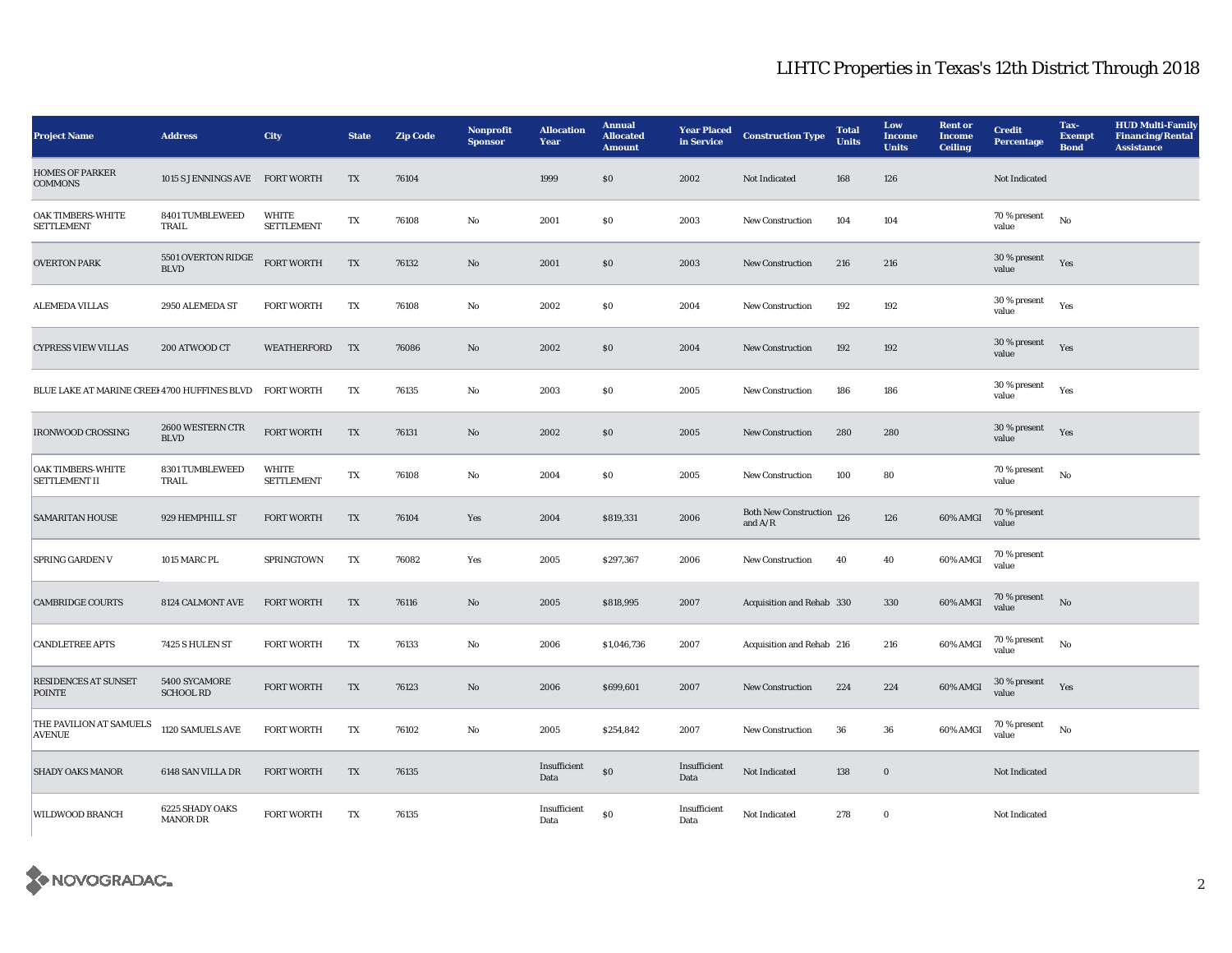| <b>Project Name</b>                              | <b>Address</b>                              | <b>City</b>                       | <b>State</b> | <b>Zip Code</b> | <b>Nonprofit</b><br><b>Sponsor</b> | <b>Allocation</b><br>Year | <b>Annual</b><br><b>Allocated</b><br><b>Amount</b> | <b>Year Placed</b><br>in Service | <b>Construction Type</b>                                                           | <b>Total</b><br><b>Units</b> | Low<br><b>Income</b><br><b>Units</b> | <b>Rent or</b><br><b>Income</b><br><b>Ceiling</b> | <b>Credit</b><br><b>Percentage</b> | Tax-<br><b>Exempt</b><br><b>Bond</b> | <b>HUD Multi-Family</b><br><b>Financing/Rental</b><br><b>Assistance</b> |
|--------------------------------------------------|---------------------------------------------|-----------------------------------|--------------|-----------------|------------------------------------|---------------------------|----------------------------------------------------|----------------------------------|------------------------------------------------------------------------------------|------------------------------|--------------------------------------|---------------------------------------------------|------------------------------------|--------------------------------------|-------------------------------------------------------------------------|
| <b>HOMES OF PARKER</b><br><b>COMMONS</b>         | 1015 S JENNINGS AVE                         | <b>FORT WORTH</b>                 | TX           | 76104           |                                    | 1999                      | ${\bf S0}$                                         | 2002                             | Not Indicated                                                                      | 168                          | 126                                  |                                                   | Not Indicated                      |                                      |                                                                         |
| <b>OAK TIMBERS-WHITE</b><br><b>SETTLEMENT</b>    | 8401 TUMBLEWEED<br>TRAIL                    | <b>WHITE</b><br><b>SETTLEMENT</b> | TX           | 76108           | $\rm No$                           | 2001                      | $\$0$                                              | 2003                             | New Construction                                                                   | 104                          | 104                                  |                                                   | 70 % present<br>value              | No                                   |                                                                         |
| <b>OVERTON PARK</b>                              | 5501 OVERTON RIDGE<br>$\operatorname{BLVD}$ | <b>FORT WORTH</b>                 | TX           | 76132           | $\mathbf{N}\mathbf{o}$             | 2001                      | $\$0$                                              | 2003                             | New Construction                                                                   | 216                          | 216                                  |                                                   | 30 % present<br>value              | Yes                                  |                                                                         |
| <b>ALEMEDA VILLAS</b>                            | 2950 ALEMEDA ST                             | <b>FORT WORTH</b>                 | TX           | 76108           | No                                 | 2002                      | \$0                                                | 2004                             | <b>New Construction</b>                                                            | 192                          | 192                                  |                                                   | 30 % present<br>value              | Yes                                  |                                                                         |
| <b>CYPRESS VIEW VILLAS</b>                       | 200 ATWOOD CT                               | WEATHERFORD                       | TX           | 76086           | $\rm No$                           | 2002                      | \$0\$                                              | 2004                             | New Construction                                                                   | 192                          | 192                                  |                                                   | $30\,\%$ present<br>value          | Yes                                  |                                                                         |
| BLUE LAKE AT MARINE CREEI 4700 HUFFINES BLVD     |                                             | <b>FORT WORTH</b>                 | TX           | 76135           | No                                 | 2003                      | $\$0$                                              | 2005                             | <b>New Construction</b>                                                            | 186                          | 186                                  |                                                   | 30 % present<br>value              | Yes                                  |                                                                         |
| <b>IRONWOOD CROSSING</b>                         | 2600 WESTERN CTR<br><b>BLVD</b>             | <b>FORT WORTH</b>                 | TX           | 76131           | $\rm No$                           | 2002                      | $\$0$                                              | 2005                             | New Construction                                                                   | 280                          | 280                                  |                                                   | 30 % present<br>value              | Yes                                  |                                                                         |
| <b>OAK TIMBERS-WHITE</b><br><b>SETTLEMENT II</b> | 8301 TUMBLEWEED<br>TRAIL                    | <b>WHITE</b><br><b>SETTLEMENT</b> | TX           | 76108           | $\mathbf{No}$                      | 2004                      | $\$0$                                              | 2005                             | New Construction                                                                   | 100                          | 80                                   |                                                   | 70 % present<br>value              | No                                   |                                                                         |
| <b>SAMARITAN HOUSE</b>                           | 929 HEMPHILL ST                             | <b>FORT WORTH</b>                 | TX           | 76104           | Yes                                | 2004                      | \$819,331                                          | 2006                             | Both New Construction 126<br>and $\ensuremath{\mathrm{A}}/\ensuremath{\mathrm{R}}$ |                              | 126                                  | 60% AMGI                                          | 70 % present<br>value              |                                      |                                                                         |
| <b>SPRING GARDEN V</b>                           | 1015 MARC PL                                | <b>SPRINGTOWN</b>                 | TX           | 76082           | Yes                                | 2005                      | \$297,367                                          | 2006                             | <b>New Construction</b>                                                            | 40                           | 40                                   | 60% AMGI                                          | 70 % present<br>value              |                                      |                                                                         |
| <b>CAMBRIDGE COURTS</b>                          | 8124 CALMONT AVE                            | <b>FORT WORTH</b>                 | TX           | 76116           | $\mathbf{No}$                      | 2005                      | \$818,995                                          | 2007                             | Acquisition and Rehab 330                                                          |                              | 330                                  | 60% AMGI                                          | 70 % present<br>value              | N <sub>o</sub>                       |                                                                         |
| <b>CANDLETREE APTS</b>                           | 7425 S HULEN ST                             | <b>FORT WORTH</b>                 | TX           | 76133           | $\mathbf{No}$                      | 2006                      | \$1,046,736                                        | 2007                             | Acquisition and Rehab 216                                                          |                              | 216                                  | 60% AMGI                                          | 70 % present<br>value              | No                                   |                                                                         |
| <b>RESIDENCES AT SUNSET</b><br><b>POINTE</b>     | 5400 SYCAMORE<br><b>SCHOOL RD</b>           | <b>FORT WORTH</b>                 | TX           | 76123           | No                                 | 2006                      | \$699,601                                          | 2007                             | New Construction                                                                   | 224                          | 224                                  | 60% AMGI                                          | 30 % present<br>value              | Yes                                  |                                                                         |
| THE PAVILION AT SAMUELS<br><b>AVENUE</b>         | 1120 SAMUELS AVE                            | <b>FORT WORTH</b>                 | TX           | 76102           | $\mathbf{N}\mathbf{o}$             | 2005                      | \$254,842                                          | 2007                             | New Construction                                                                   | 36                           | 36                                   | 60% AMGI                                          | 70 % present<br>value              | No                                   |                                                                         |
| <b>SHADY OAKS MANOR</b>                          | 6148 SAN VILLA DR                           | <b>FORT WORTH</b>                 | TX           | 76135           |                                    | Insufficient<br>Data      | ${\bf S0}$                                         | Insufficient<br>Data             | Not Indicated                                                                      | 138                          | $\bf{0}$                             |                                                   | Not Indicated                      |                                      |                                                                         |
| <b>WILDWOOD BRANCH</b>                           | 6225 SHADY OAKS<br><b>MANOR DR</b>          | <b>FORT WORTH</b>                 | TX           | 76135           |                                    | Insufficient<br>Data      | S <sub>0</sub>                                     | Insufficient<br>Data             | Not Indicated                                                                      | 278                          | $\bf{0}$                             |                                                   | <b>Not Indicated</b>               |                                      |                                                                         |

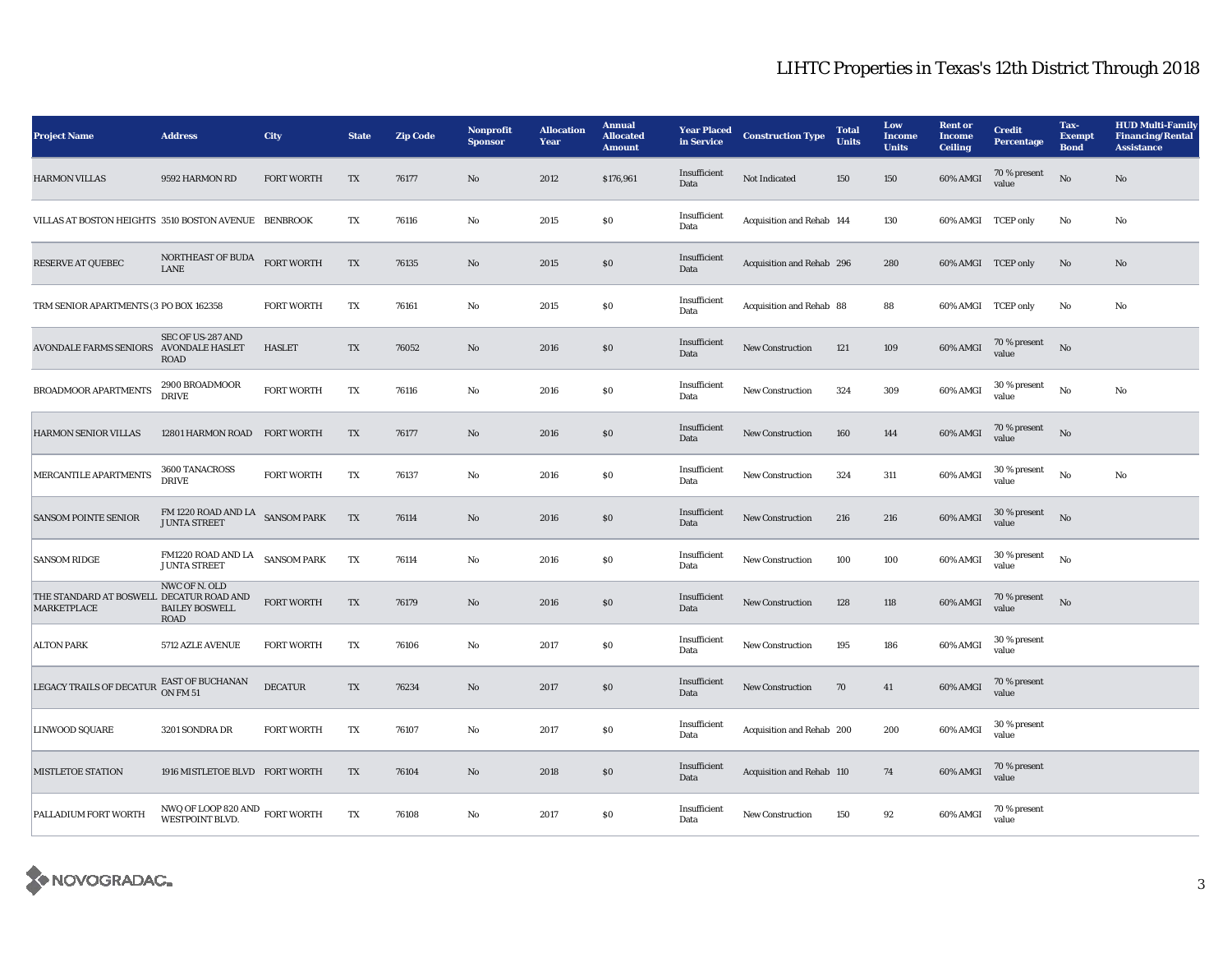| <b>Project Name</b>                                            | <b>Address</b>                                                                                         | <b>City</b>       | <b>State</b> | <b>Zip Code</b> | Nonprofit<br><b>Sponsor</b> | <b>Allocation</b><br>Year | <b>Annual</b><br><b>Allocated</b><br><b>Amount</b> | <b>Year Placed</b><br>in Service | <b>Construction Type</b>  | <b>Total</b><br><b>Units</b> | Low<br><b>Income</b><br><b>Units</b> | <b>Rent or</b><br><b>Income</b><br><b>Ceiling</b> | <b>Credit</b><br><b>Percentage</b> | Tax-<br><b>Exempt</b><br><b>Bond</b> | <b>HUD Multi-Family</b><br><b>Financing/Rental</b><br><b>Assistance</b> |
|----------------------------------------------------------------|--------------------------------------------------------------------------------------------------------|-------------------|--------------|-----------------|-----------------------------|---------------------------|----------------------------------------------------|----------------------------------|---------------------------|------------------------------|--------------------------------------|---------------------------------------------------|------------------------------------|--------------------------------------|-------------------------------------------------------------------------|
| <b>HARMON VILLAS</b>                                           | 9592 HARMON RD                                                                                         | <b>FORT WORTH</b> | TX           | 76177           | No                          | 2012                      | \$176,961                                          | Insufficient<br>Data             | <b>Not Indicated</b>      | 150                          | 150                                  | 60% AMGI                                          | 70 % present<br>value              | $\rm\thinspace No$                   | No                                                                      |
| VILLAS AT BOSTON HEIGHTS 3510 BOSTON AVENUE BENBROOK           |                                                                                                        |                   | TX           | 76116           | $\rm\thinspace No$          | 2015                      | S <sub>0</sub>                                     | Insufficient<br>Data             | Acquisition and Rehab 144 |                              | 130                                  | 60% AMGI TCEP only                                |                                    | No                                   | No                                                                      |
| <b>RESERVE AT QUEBEC</b>                                       | NORTHEAST OF BUDA<br><b>LANE</b>                                                                       | <b>FORT WORTH</b> | TX           | 76135           | No                          | 2015                      | ${\bf S0}$                                         | Insufficient<br>Data             | Acquisition and Rehab 296 |                              | 280                                  | 60% AMGI TCEP only                                |                                    | No                                   | No                                                                      |
| TRM SENIOR APARTMENTS (3 PO BOX 162358                         |                                                                                                        | <b>FORT WORTH</b> | TX           | 76161           | No                          | 2015                      | ${\bf S0}$                                         | Insufficient<br>Data             | Acquisition and Rehab 88  |                              | 88                                   | 60% AMGI TCEP only                                |                                    | No                                   | No                                                                      |
| <b>AVONDALE FARMS SENIORS</b>                                  | SEC OF US-287 AND<br><b>AVONDALE HASLET</b><br><b>ROAD</b>                                             | <b>HASLET</b>     | TX           | 76052           | No                          | 2016                      | S <sub>0</sub>                                     | Insufficient<br>Data             | <b>New Construction</b>   | 121                          | 109                                  | 60% AMGI                                          | 70 % present<br>value              | No                                   |                                                                         |
| <b>BROADMOOR APARTMENTS</b>                                    | 2900 BROADMOOR<br><b>DRIVE</b>                                                                         | <b>FORT WORTH</b> | TX           | 76116           | $\rm\thinspace No$          | 2016                      | S <sub>0</sub>                                     | Insufficient<br>Data             | <b>New Construction</b>   | 324                          | 309                                  | 60% AMGI                                          | $30\,\%$ present<br>value          | No                                   | No                                                                      |
| HARMON SENIOR VILLAS                                           | 12801 HARMON ROAD                                                                                      | <b>FORT WORTH</b> | TX           | 76177           | $\mathbf {No}$              | 2016                      | $\$0$                                              | Insufficient<br>Data             | <b>New Construction</b>   | 160                          | 144                                  | 60% AMGI                                          | 70 % present<br>value              | No                                   |                                                                         |
| MERCANTILE APARTMENTS                                          | 3600 TANACROSS<br><b>DRIVE</b>                                                                         | <b>FORT WORTH</b> | TX           | 76137           | $\rm\thinspace No$          | 2016                      | $\$0$                                              | Insufficient<br>Data             | <b>New Construction</b>   | 324                          | 311                                  | 60% AMGI                                          | 30 % present<br>value              | No                                   | $\mathbf {No}$                                                          |
| <b>SANSOM POINTE SENIOR</b>                                    | $\begin{array}{ll} \text{FM 1220 ROAD AND LA} & \text{SANSOM PARK} \end{array}$<br><b>JUNTA STREET</b> |                   | TX           | 76114           | $\mathbf{No}$               | 2016                      | S <sub>0</sub>                                     | Insufficient<br>Data             | <b>New Construction</b>   | 216                          | 216                                  | 60% AMGI                                          | 30 % present<br>value              | No                                   |                                                                         |
| <b>SANSOM RIDGE</b>                                            | FM1220 ROAD AND LA<br>SANSOM PARK<br><b>JUNTA STREET</b>                                               |                   | TX           | 76114           | $\rm\thinspace No$          | 2016                      | $\$0$                                              | Insufficient<br>Data             | <b>New Construction</b>   | 100                          | 100                                  | 60% AMGI                                          | 30 % present<br>value              | No                                   |                                                                         |
| THE STANDARD AT BOSWELL DECATUR ROAD AND<br><b>MARKETPLACE</b> | NWC OF N. OLD<br><b>BAILEY BOSWELL</b><br><b>ROAD</b>                                                  | FORT WORTH        | TX           | 76179           | No                          | 2016                      | $\$0$                                              | Insufficient<br>Data             | <b>New Construction</b>   | 128                          | 118                                  | 60% AMGI                                          | 70 % present<br>value              | No                                   |                                                                         |
| <b>ALTON PARK</b>                                              | 5712 AZLE AVENUE                                                                                       | <b>FORT WORTH</b> | TX           | 76106           | $\mathbf {No}$              | 2017                      | ${\bf S0}$                                         | Insufficient<br>Data             | <b>New Construction</b>   | 195                          | 186                                  | 60% AMGI                                          | 30 % present<br>value              |                                      |                                                                         |
| LEGACY TRAILS OF DECATUR                                       | EAST OF BUCHANAN<br>ON FM 51                                                                           | <b>DECATUR</b>    | TX           | 76234           | No                          | 2017                      | S <sub>0</sub>                                     | Insufficient<br>Data             | <b>New Construction</b>   | 70                           | 41                                   | 60% AMGI                                          | 70 % present<br>value              |                                      |                                                                         |
| LINWOOD SQUARE                                                 | 3201 SONDRA DR                                                                                         | <b>FORT WORTH</b> | TX           | 76107           | $\rm\thinspace No$          | 2017                      | S <sub>0</sub>                                     | Insufficient<br>Data             | Acquisition and Rehab 200 |                              | 200                                  | 60% AMGI                                          | 30 % present<br>value              |                                      |                                                                         |
| <b>MISTLETOE STATION</b>                                       | 1916 MISTLETOE BLVD FORT WORTH                                                                         |                   | TX           | 76104           | No                          | 2018                      | $\$0$                                              | Insufficient<br>Data             | Acquisition and Rehab 110 |                              | 74                                   | 60% AMGI                                          | 70 % present<br>value              |                                      |                                                                         |
| PALLADIUM FORT WORTH                                           | ${\rm N} {\rm W} {\rm Q}$ OF LOOP 820 AND $\,$ FORT WORTH WESTPOINT BLVD.                              |                   | TX           | 76108           | No                          | 2017                      | ${\bf S0}$                                         | Insufficient<br>Data             | New Construction          | 150                          | 92                                   | 60% AMGI                                          | 70 % present<br>value              |                                      |                                                                         |

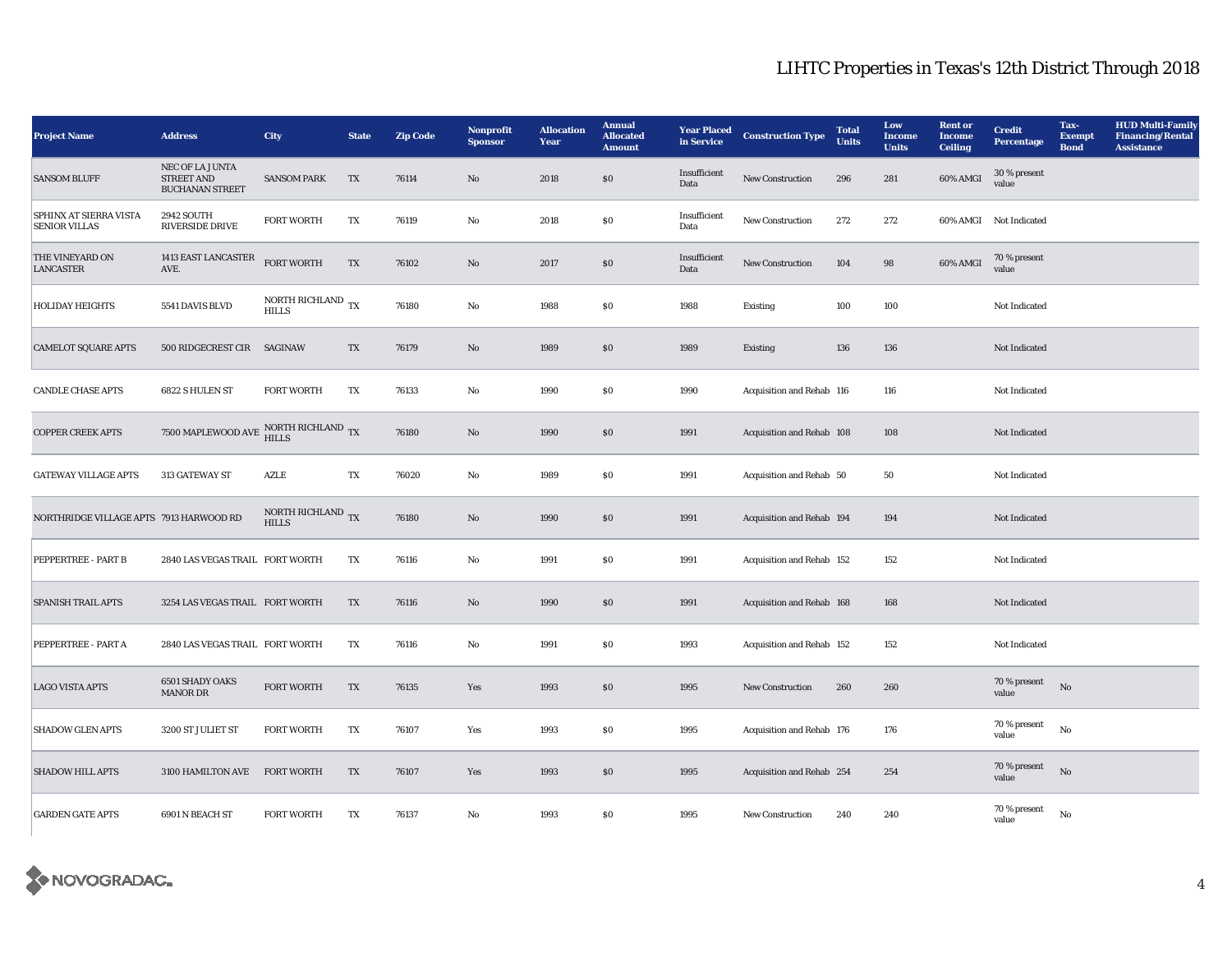| <b>Project Name</b>                            | <b>Address</b>                                                          | City                                          | <b>State</b> | <b>Zip Code</b> | Nonprofit<br><b>Sponsor</b> | <b>Allocation</b><br>Year | <b>Annual</b><br><b>Allocated</b><br><b>Amount</b> | <b>Year Placed</b><br>in Service | <b>Construction Type</b>  | <b>Total</b><br><b>Units</b> | Low<br>Income<br><b>Units</b> | <b>Rent or</b><br><b>Income</b><br><b>Ceiling</b> | <b>Credit</b><br><b>Percentage</b> | Tax-<br><b>Exempt</b><br><b>Bond</b> | <b>HUD Multi-Family</b><br><b>Financing/Rental</b><br><b>Assistance</b> |
|------------------------------------------------|-------------------------------------------------------------------------|-----------------------------------------------|--------------|-----------------|-----------------------------|---------------------------|----------------------------------------------------|----------------------------------|---------------------------|------------------------------|-------------------------------|---------------------------------------------------|------------------------------------|--------------------------------------|-------------------------------------------------------------------------|
| <b>SANSOM BLUFF</b>                            | NEC OF LA JUNTA<br><b>STREET AND</b><br><b>BUCHANAN STREET</b>          | <b>SANSOM PARK</b>                            | TX           | 76114           | $\rm\thinspace No$          | 2018                      | S <sub>0</sub>                                     | Insufficient<br>Data             | New Construction          | 296                          | 281                           | 60% AMGI                                          | 30 % present<br>value              |                                      |                                                                         |
| SPHINX AT SIERRA VISTA<br><b>SENIOR VILLAS</b> | <b>2942 SOUTH</b><br><b>RIVERSIDE DRIVE</b>                             | <b>FORT WORTH</b>                             | TX           | 76119           | $\mathbf {No}$              | 2018                      | <b>SO</b>                                          | Insufficient<br>Data             | New Construction          | 272                          | 272                           |                                                   | 60% AMGI Not Indicated             |                                      |                                                                         |
| THE VINEYARD ON<br><b>LANCASTER</b>            | 1413 EAST LANCASTER<br>AVE.                                             | <b>FORT WORTH</b>                             | TX           | 76102           | $\rm\thinspace No$          | 2017                      | \$0                                                | Insufficient<br>Data             | New Construction          | 104                          | 98                            | 60% AMGI                                          | 70 % present<br>value              |                                      |                                                                         |
| <b>HOLIDAY HEIGHTS</b>                         | 5541 DAVIS BLVD                                                         | NORTH RICHLAND $_{\text{TX}}$<br><b>HILLS</b> |              | 76180           | $\mathbf {No}$              | 1988                      | S <sub>0</sub>                                     | 1988                             | Existing                  | 100                          | 100                           |                                                   | Not Indicated                      |                                      |                                                                         |
| <b>CAMELOT SQUARE APTS</b>                     | 500 RIDGECREST CIR                                                      | <b>SAGINAW</b>                                | TX           | 76179           | $\mathbf{No}$               | 1989                      | \$0                                                | 1989                             | <b>Existing</b>           | 136                          | 136                           |                                                   | Not Indicated                      |                                      |                                                                         |
| <b>CANDLE CHASE APTS</b>                       | 6822 S HULEN ST                                                         | <b>FORT WORTH</b>                             | TX           | 76133           | $\mathbf {No}$              | 1990                      | $\$0$                                              | 1990                             | Acquisition and Rehab 116 |                              | 116                           |                                                   | Not Indicated                      |                                      |                                                                         |
| <b>COPPER CREEK APTS</b>                       | 7500 MAPLEWOOD AVE $\frac{\mbox{NOTE}\mbox{RICHLAND}}{\mbox{HILLS}}$ TX |                                               |              | 76180           | No                          | 1990                      | \$0                                                | 1991                             | Acquisition and Rehab 108 |                              | 108                           |                                                   | Not Indicated                      |                                      |                                                                         |
| <b>GATEWAY VILLAGE APTS</b>                    | 313 GATEWAY ST                                                          | AZLE                                          | TX           | 76020           | $\mathbf {No}$              | 1989                      | <b>SO</b>                                          | 1991                             | Acquisition and Rehab 50  |                              | 50                            |                                                   | Not Indicated                      |                                      |                                                                         |
| NORTHRIDGE VILLAGE APTS 7913 HARWOOD RD        |                                                                         | NORTH RICHLAND $_{\rm TX}$<br><b>HILLS</b>    |              | 76180           | $\rm No$                    | 1990                      | $\$0$                                              | 1991                             | Acquisition and Rehab 194 |                              | 194                           |                                                   | Not Indicated                      |                                      |                                                                         |
| PEPPERTREE - PART B                            | 2840 LAS VEGAS TRAIL FORT WORTH                                         |                                               | TX           | 76116           | $\rm No$                    | 1991                      | <b>SO</b>                                          | 1991                             | Acquisition and Rehab 152 |                              | 152                           |                                                   | Not Indicated                      |                                      |                                                                         |
| <b>SPANISH TRAIL APTS</b>                      | 3254 LAS VEGAS TRAIL FORT WORTH                                         |                                               | TX           | 76116           | $\rm No$                    | 1990                      | \$0                                                | 1991                             | Acquisition and Rehab 168 |                              | 168                           |                                                   | Not Indicated                      |                                      |                                                                         |
| PEPPERTREE - PART A                            | 2840 LAS VEGAS TRAIL FORT WORTH                                         |                                               | TX           | 76116           | No                          | 1991                      | <b>SO</b>                                          | 1993                             | Acquisition and Rehab 152 |                              | 152                           |                                                   | Not Indicated                      |                                      |                                                                         |
| <b>LAGO VISTA APTS</b>                         | <b>6501 SHADY OAKS</b><br><b>MANOR DR</b>                               | <b>FORT WORTH</b>                             | TX           | 76135           | Yes                         | 1993                      | \$0                                                | 1995                             | New Construction          | 260                          | 260                           |                                                   | 70 % present<br>value              | No                                   |                                                                         |
| <b>SHADOW GLEN APTS</b>                        | 3200 ST JULIET ST                                                       | <b>FORT WORTH</b>                             | TX           | 76107           | Yes                         | 1993                      | <b>SO</b>                                          | 1995                             | Acquisition and Rehab 176 |                              | 176                           |                                                   | 70 % present<br>value              | No                                   |                                                                         |
| <b>SHADOW HILL APTS</b>                        | 3100 HAMILTON AVE                                                       | <b>FORT WORTH</b>                             | TX           | 76107           | Yes                         | 1993                      | \$0                                                | 1995                             | Acquisition and Rehab 254 |                              | 254                           |                                                   | 70 % present<br>value              | No                                   |                                                                         |
| <b>GARDEN GATE APTS</b>                        | 6901 N BEACH ST                                                         | <b>FORT WORTH</b>                             | TX           | 76137           | $\mathbf {No}$              | 1993                      | <b>SO</b>                                          | 1995                             | New Construction          | 240                          | 240                           |                                                   | 70 % present<br>value              | No                                   |                                                                         |